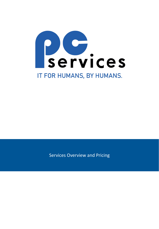

Services Overview and Pricing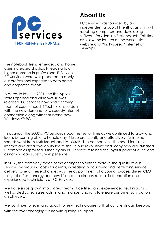

PC Services was founded by an independent group of IT enthusiasts in 1991, repairing computers and developing software for clients in Stellenbosch. This time also saw the launch of the world's first website and "high-speed" internet at 14.4kbps!

The notebook trend emerged, and home users increased drastically leading to a higher demand in professional IT Services. PC Services were well prepared to apply our professional expertise to both home and corporate clients.

A decade later, in 2001, the first Apple stores opened and Windows XP was released. PC services now had a thriving team of experienced IT Technicians to deal with the new demand for a speedy internet connection along with that brand-new Windows XP PC.



Throughout the 2000's, PC services stood the test of time as we continued to grow and learn, becoming able to handle any IT issue proficiently and effectively. As internet speeds went from 4MB Broadband to 100MB fibre connections, the need for faster internet and data availability led to the "cloud revolution" and many new cloud-based IT companies sprouted. Once again PC Services retained the loyal support of our clients as nothing can substitute experience.

In 2016, the company made some changes to further improve the quality of our services by reducing costs for clients, increasing productivity and perfecting service delivery. One of these changes was the appointment of a young, success driven CEO to inject a fresh energy and new life into the already rock-solid foundation and experienced technicians at PC Services.

We have since grown into a great team of certified and experienced technicians as well as dedicated sales, admin and finance functions to ensure customer satisfaction on all levels.

We continue to learn and adapt to new technologies so that our clients can keep up with the ever-changing future with quality IT support.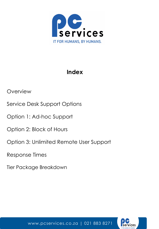

# **Index**

**Overview** 

Service Desk Support Options

Option 1: Ad-hoc Support

Option 2: Block of Hours

Option 3: Unlimited Remote User Support

Response Times

Tier Package Breakdown

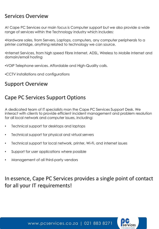### Services Overview

At Cape PC Services our main focus is Computer support but we also provide a wide range of services within the Technology industry which includes:

•Hardware sales, from Servers, Laptops, computers, any computer peripherals to a printer cartridge, anything related to technology we can source.

•Internet Services, from high speed Fibre Internet, ADSL, Wireless to Mobile Internet and domain/email hosting

•VOIP Telephone services. Affordable and High-Quality calls.

•CCTV installations and configurations

### Support Overview

## Cape PC Services Support Options

A dedicated team of IT specialists man the Cape PC Services Support Desk. We interact with clients to provide efficient incident management and problem resolution for all local network and computer issues, including:

- Technical support for desktops and laptops
- Technical support for physical and virtual servers
- Technical support for local network, printer, Wi-Fi, and internet issues
- Support for user applications where possible
- Management of all third-party vendors

In essence, Cape PC Services provides a single point of contact for all your IT requirements!

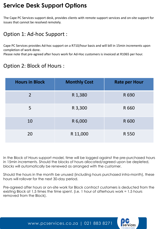# **Service Desk Support Options**

The Cape PC Services support desk, provides clients with remote support services and on-site support for issues that cannot be resolved remotely.

# Option 1: Ad-hoc Support :

Cape PC Services provides Ad-hoc support on a R710/hour basis and will bill in 15min increments upon completion of work done.

Please note that pre-agreed after hours work for Ad-Hoc customers is invoiced at R1065 per hour.

# Option 2: Block of Hours :

| <b>Hours in Block</b> | <b>Monthly Cost</b> | <b>Rate per Hour</b> |
|-----------------------|---------------------|----------------------|
| $\overline{2}$        | R 1,380             | R 690                |
| 5                     | R 3,300             | R 660                |
| 10                    | R 6,000<br>R 600    |                      |
| 20                    | R 11,000            | R 550                |

In the Block of Hours support model, time will be logged against the pre-purchased hours in 15min increments. Should the blocks of hours allocated/agreed upon be depleted, blocks will automatically be renewed as arranged with the customer.

Should the hours in the month be unused (including hours purchased intra-month), these hours will rollover for the next 30-day period.

Pre-agreed after hours or on-site work for Block contract customers is deducted from the existing Block at 1.5 times the time spent. (i.e. 1 hour of afterhours work = 1.5 hours removed from the Block).

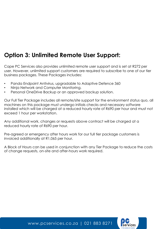# **Option 3: Unlimited Remote User Support:**

Cape PC Services also provides unlimited remote user support and is set at R272 per user. However, unlimited support customers are required to subscribe to one of our tier business packages. These Packages includes:

- Panda Endpoint Antivirus, upgradable to Adaptive Defence 360
- Ninja Network and Computer Monitoring.
- Personal OneDrive Backup or an approved backup solution.

Our Full Tier Package includes all remote/site support for the environment status quo, all machines on this package must undergo initials checks and necessary software installed which will be charged at a reduced hourly rate of R690 per hour and must not exceed 1 hour per workstation.

Any additional work, changes or requests above contract will be charged at a reduced hourly rate of R690 per hour.

Pre-agreed or emergency after hours work for our full tier package customers is invoiced additionally at R1,065 per hour.

A Block of Hours can be used in conjunction with any Tier Package to reduce the costs of change requests, on-site and after-hours work required.

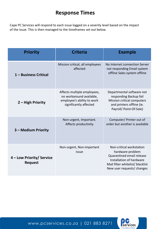### **Response Times**

Cape PC Services will respond to each issue logged on a severity level based on the impact of the issue. This is then managed to the timeframes set out below.

| <b>Priority</b>                             | <b>Criteria</b>                                                                                                 | <b>Example</b>                                                                                                                                                          |  |
|---------------------------------------------|-----------------------------------------------------------------------------------------------------------------|-------------------------------------------------------------------------------------------------------------------------------------------------------------------------|--|
| 1 - Business Critical                       | Mission critical, all employees<br>affected                                                                     | No Internet connection Server<br>not responding Email system<br>offline Sales system offline                                                                            |  |
| 2 - High Priority                           | Affects multiple employees,<br>no workaround available,<br>employee's ability to work<br>significantly affected | Departmental software not<br>responding Backup fail<br><b>Mission critical computers</b><br>and printers offline (ie.<br>Payroll/ Point-Of-Sale)                        |  |
| 3 - Medium Priority                         | Non-urgent, Important.<br>Affects productivity                                                                  | Computer/ Printer out of<br>order but another is available                                                                                                              |  |
| 4 – Low Priority/ Service<br><b>Request</b> | Non-urgent, Non-important<br>issue                                                                              | Non-critical workstation<br>hardware problem<br>Quarantined email release<br>Installation of hardware<br>Mail filter whitelist/ blacklist<br>New user requests/ changes |  |

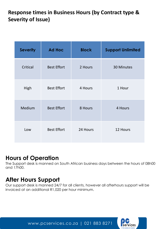# **Severity of Issue) Response times in Business Hours (by Contract type &**

| <b>Severity</b> | <b>Ad Hoc</b>      | <b>Block</b> | <b>Support Unlimited</b> |
|-----------------|--------------------|--------------|--------------------------|
| Critical        | <b>Best Effort</b> | 2 Hours      | <b>30 Minutes</b>        |
| High            | <b>Best Effort</b> | 4 Hours      | 1 Hour                   |
| Medium          | <b>Best Effort</b> | 8 Hours      | 4 Hours                  |
| Low             | <b>Best Effort</b> | 24 Hours     | 12 Hours                 |

## **Hours of Operation**

The Support desk is manned on South African business days between the hours of 08h00 and 17h00.

## **After Hours Support**

Our support desk is manned 24/7 for all clients, however all afterhours support will be invoiced at an additional R1,020 per hour minimum.

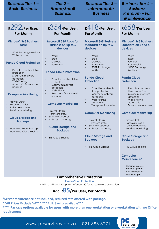| <b>Business Tier 1 -</b><br><b>Basic Business</b>                                                                                                                                                                                                                                                                                                                                                                                                                                         | Tier $2-$<br><b>Home/Small</b><br><b>Business</b>                                                                                                                                                                                                                                                                                                                                                                                                                                                                                                                                                                                                        | <b>Business Tier 3 -</b><br><b>Intermediate</b><br><b>Business</b>                                                                                                                                                                                                                                                                                                                                                                                                                                                                                                                                                                   | <b>Business Tier 4 -</b><br><b>Business</b><br><b>Premium - Full</b><br><b>Maintenance</b>                                                                                                                                                                                                                                                                                                                                                                                                                                                                                                                                                                                                                                                                                               |  |
|-------------------------------------------------------------------------------------------------------------------------------------------------------------------------------------------------------------------------------------------------------------------------------------------------------------------------------------------------------------------------------------------------------------------------------------------------------------------------------------------|----------------------------------------------------------------------------------------------------------------------------------------------------------------------------------------------------------------------------------------------------------------------------------------------------------------------------------------------------------------------------------------------------------------------------------------------------------------------------------------------------------------------------------------------------------------------------------------------------------------------------------------------------------|--------------------------------------------------------------------------------------------------------------------------------------------------------------------------------------------------------------------------------------------------------------------------------------------------------------------------------------------------------------------------------------------------------------------------------------------------------------------------------------------------------------------------------------------------------------------------------------------------------------------------------------|------------------------------------------------------------------------------------------------------------------------------------------------------------------------------------------------------------------------------------------------------------------------------------------------------------------------------------------------------------------------------------------------------------------------------------------------------------------------------------------------------------------------------------------------------------------------------------------------------------------------------------------------------------------------------------------------------------------------------------------------------------------------------------------|--|
| $R292$ /Per User,<br><b>Per Month</b>                                                                                                                                                                                                                                                                                                                                                                                                                                                     | $R354$ /Per User,<br><b>Per Month</b>                                                                                                                                                                                                                                                                                                                                                                                                                                                                                                                                                                                                                    | $R418$ /Per User,<br><b>Per Month</b>                                                                                                                                                                                                                                                                                                                                                                                                                                                                                                                                                                                                | $R658$ /Per User,<br><b>Per Month</b>                                                                                                                                                                                                                                                                                                                                                                                                                                                                                                                                                                                                                                                                                                                                                    |  |
| <b>Microsoft 365 Business</b><br><b>Basic</b><br>50GB Exchange Mailbox<br>Web apps only<br><b>Panda Cloud Protection</b><br>Proactive and real-time<br>protection<br>Maximum malware<br>detection<br>Web Filtering<br>Automatic Transparent<br>updates<br><b>Computer Monitoring</b><br><b>Firewall Status</b><br>Hardware status<br>Software updates<br>Antivirus monitoring<br><b>Cloud Storage and</b><br><b>Backups</b><br><b>Monitored Local Backups</b><br>Monitored Cloud Backups* | <b>Microsoft 365 Apps for</b><br><b>Business on up to 5</b><br>devices<br>Word<br>$\bullet$<br>Excel<br>$\bullet$<br>Outlook<br>$\bullet$<br>PowerPoint<br>$\bullet$<br><b>Panda Cloud Protection</b><br>Proactive and real-time<br>$\bullet$<br>protection<br>Maximum malware<br>$\bullet$<br>detection<br>Web Filtering<br>$\bullet$<br>Automatic Transparent<br>$\bullet$<br>updates<br><b>Computer Monitoring</b><br><b>Firewall Status</b><br>$\bullet$<br>Hardware status<br>$\bullet$<br>Software updates<br>$\bullet$<br>Antivirus monitoring<br>$\bullet$<br><b>Cloud Storage and</b><br><b>Backups</b><br><b>ITB Cloud Backup</b><br>$\bullet$ | <b>Microsoft 365 Business</b><br>Standard on up to 5<br>devices<br>Word<br>Excel<br>$\bullet$<br>Outlook<br>PowerPoint<br>$\bullet$<br>50GB Exchange<br>Mailbox<br><b>Panda Cloud</b><br><b>Protection</b><br>Proactive and real-<br>$\bullet$<br>time protection<br>Maximum malware<br>$\bullet$<br>detection<br>Web Filtering<br>$\bullet$<br>Automatic<br>$\bullet$<br>Transparent updates<br><b>Computer Monitoring</b><br><b>Firewall Status</b><br>Hardware status<br>Software updates<br>$\bullet$<br>Antivirus monitoring<br>$\bullet$<br><b>Cloud Storage and</b><br><b>Backups</b><br><b>1TB Cloud Backup</b><br>$\bullet$ | <b>Microsoft 365 Business</b><br>Standard on up to 5<br>devices<br>Word<br>$\bullet$<br>Excel<br>$\bullet$<br>Outlook<br>$\bullet$<br>PowerPoint<br>$\bullet$<br>50GB Exchange<br>$\bullet$<br><b>Mailbox</b><br><b>Panda Cloud</b><br><b>Protection</b><br>Proactive and real-<br>$\bullet$<br>time protection<br>Maximum malware<br>$\bullet$<br>detection<br>Web Filtering<br>$\bullet$<br>Automatic<br>$\bullet$<br>Transparent updates<br><b>Computer Monitoring</b><br><b>Firewall Status</b><br>Hardware status<br>$\bullet$<br>$\bullet$<br>Software updates<br>Antivirus monitoring<br>$\bullet$<br><b>Cloud Storage and</b><br><b>Backups</b><br><b>ITB Cloud Backup</b><br>$\bullet$<br>Computer<br>Maintenance*<br>Computer updates<br>$\bullet$<br><b>Antivirus Updates</b> |  |
|                                                                                                                                                                                                                                                                                                                                                                                                                                                                                           |                                                                                                                                                                                                                                                                                                                                                                                                                                                                                                                                                                                                                                                          |                                                                                                                                                                                                                                                                                                                                                                                                                                                                                                                                                                                                                                      | <b>Proactive Support</b><br>$\bullet$<br><b>Remote Support</b>                                                                                                                                                                                                                                                                                                                                                                                                                                                                                                                                                                                                                                                                                                                           |  |
| <b>Comprehensive Protection</b>                                                                                                                                                                                                                                                                                                                                                                                                                                                           |                                                                                                                                                                                                                                                                                                                                                                                                                                                                                                                                                                                                                                                          |                                                                                                                                                                                                                                                                                                                                                                                                                                                                                                                                                                                                                                      |                                                                                                                                                                                                                                                                                                                                                                                                                                                                                                                                                                                                                                                                                                                                                                                          |  |

**Panda Cloud Protection** 

• With additional Adaptive Defence 360 for Ransom ware protection

## **<sup>A</sup>**dd **R85/Per User, Per Month**

**\*Server Maintenance not included, reduced rate offered with package.**

**\*\*All Prices Exclude VAT\*\* \*\*\*Bulk Saving available\*\*\***

**\*\*\*\* Package options available for users with more than one workstation or a workstation with no Office requirement**